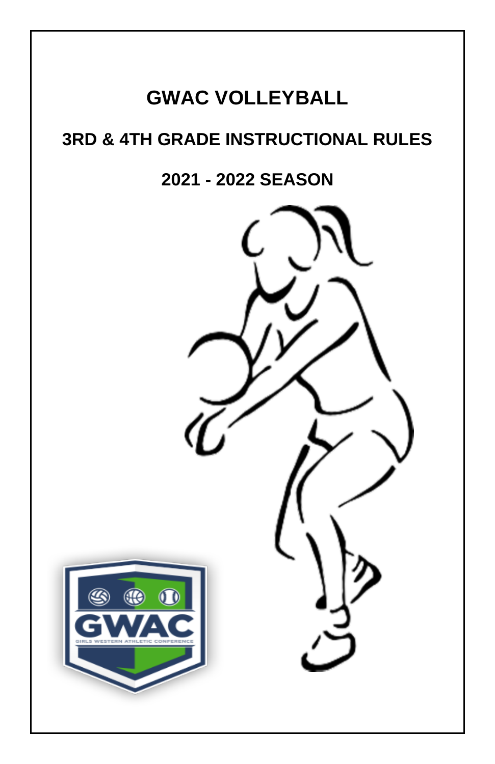# **GWAC VOLLEYBALL**

# **3RD & 4TH GRADE INSTRUCTIONAL RULES**

# **2021 - 2022 SEASON**

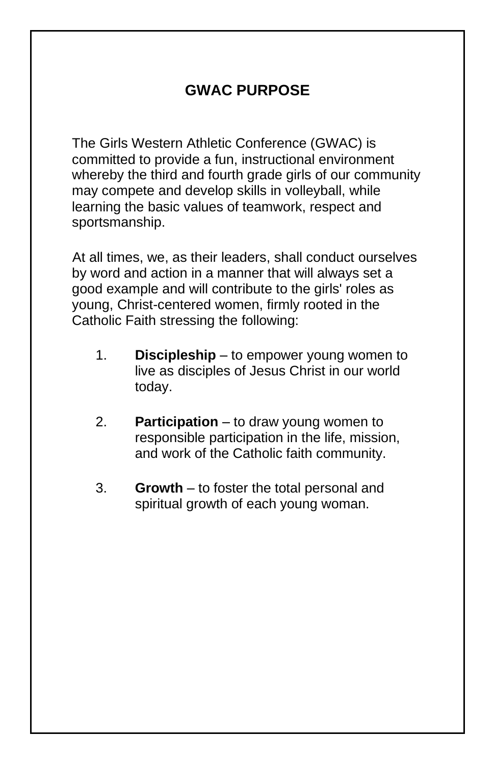## **GWAC PURPOSE**

The Girls Western Athletic Conference (GWAC) is committed to provide a fun, instructional environment whereby the third and fourth grade girls of our community may compete and develop skills in volleyball, while learning the basic values of teamwork, respect and sportsmanship.

At all times, we, as their leaders, shall conduct ourselves by word and action in a manner that will always set a good example and will contribute to the girls' roles as young, Christ-centered women, firmly rooted in the Catholic Faith stressing the following:

- 1. **Discipleship** to empower young women to live as disciples of Jesus Christ in our world today.
- 2. **Participation** to draw young women to responsible participation in the life, mission, and work of the Catholic faith community.
- 3. **Growth** to foster the total personal and spiritual growth of each young woman.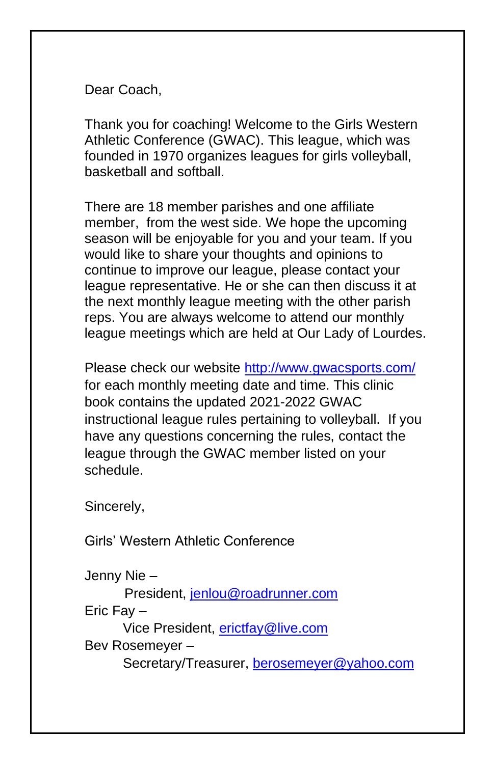Dear Coach,

Thank you for coaching! Welcome to the Girls Western Athletic Conference (GWAC). This league, which was founded in 1970 organizes leagues for girls volleyball, basketball and softball.

There are 18 member parishes and one affiliate member, from the west side. We hope the upcoming season will be enjoyable for you and your team. If you would like to share your thoughts and opinions to continue to improve our league, please contact your league representative. He or she can then discuss it at the next monthly league meeting with the other parish reps. You are always welcome to attend our monthly league meetings which are held at Our Lady of Lourdes.

Please check our website<http://www.gwacsports.com/> for each monthly meeting date and time. This clinic book contains the updated 2021-2022 GWAC instructional league rules pertaining to volleyball. If you have any questions concerning the rules, contact the league through the GWAC member listed on your schedule.

Sincerely,

Girls' Western Athletic Conference

Jenny Nie –

President, [jenlou@roadrunner.com](mailto:jenlou@roadrunner.com)

Eric Fay –

Vice President, [erictfay@live.com](mailto:erictfay@live.com)

Bev Rosemeyer –

Secretary/Treasurer, [berosemeyer@yahoo.com](mailto:berosemeyer@yahoo.com)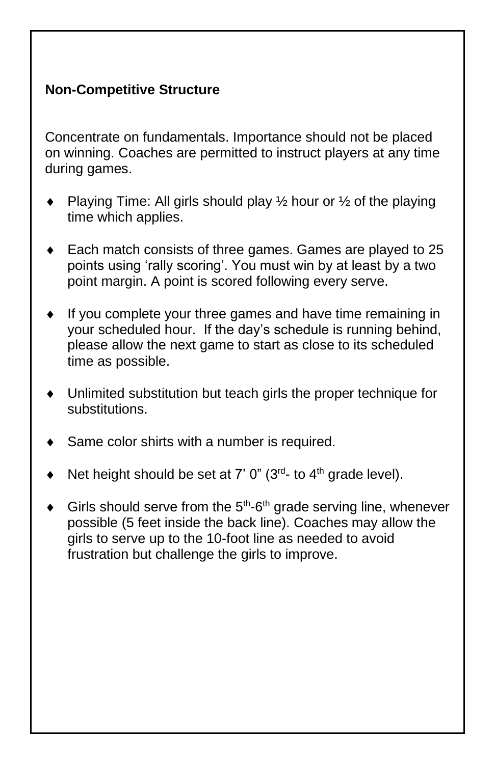### **Non-Competitive Structure**

Concentrate on fundamentals. Importance should not be placed on winning. Coaches are permitted to instruct players at any time during games.

- Playing Time: All girls should play  $\frac{1}{2}$  hour or  $\frac{1}{2}$  of the playing time which applies.
- Each match consists of three games. Games are played to 25 points using 'rally scoring'. You must win by at least by a two point margin. A point is scored following every serve.
- If you complete your three games and have time remaining in your scheduled hour. If the day's schedule is running behind, please allow the next game to start as close to its scheduled time as possible.
- Unlimited substitution but teach girls the proper technique for substitutions.
- Same color shirts with a number is required.
- $\blacklozenge$  Net height should be set at 7' 0" (3<sup>rd</sup>- to 4<sup>th</sup> grade level).
- $\triangleleft$  Girls should serve from the 5<sup>th</sup>-6<sup>th</sup> grade serving line, whenever possible (5 feet inside the back line). Coaches may allow the girls to serve up to the 10-foot line as needed to avoid frustration but challenge the girls to improve.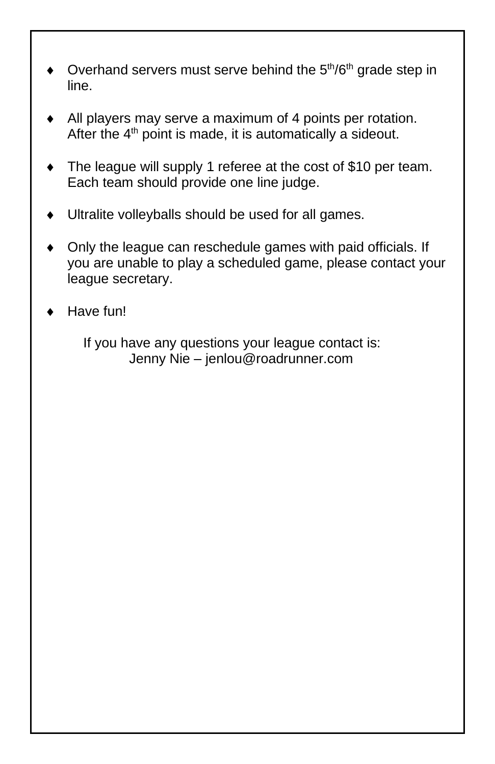- Overhand servers must serve behind the  $5<sup>th</sup>/6<sup>th</sup>$  grade step in line.
- All players may serve a maximum of 4 points per rotation. After the  $4<sup>th</sup>$  point is made, it is automatically a sideout.
- The league will supply 1 referee at the cost of \$10 per team. Each team should provide one line judge.
- Ultralite volleyballs should be used for all games.
- Only the league can reschedule games with paid officials. If you are unable to play a scheduled game, please contact your league secretary.
- Have fun!

 If you have any questions your league contact is: Jenny Nie – jenlou@roadrunner.com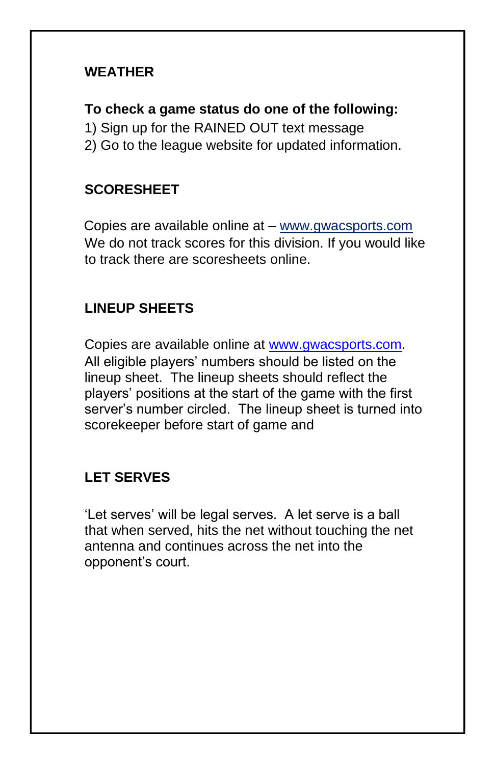#### **WEATHER**

#### **To check a game status do one of the following:**

- 1) Sign up for the RAINED OUT text message
- 2) Go to the league website for updated information.

### **SCORESHEET**

Copies are available online at – [www.gwacsports.com](http://www.gwacsports.com/) We do not track scores for this division. If you would like to track there are scoresheets online.

## **LINEUP SHEETS**

Copies are available online at [www.gwacsports.com.](http://www.gwacsports.com/) All eligible players' numbers should be listed on the lineup sheet. The lineup sheets should reflect the players' positions at the start of the game with the first server's number circled. The lineup sheet is turned into scorekeeper before start of game and

### **LET SERVES**

'Let serves' will be legal serves. A let serve is a ball that when served, hits the net without touching the net antenna and continues across the net into the opponent's court.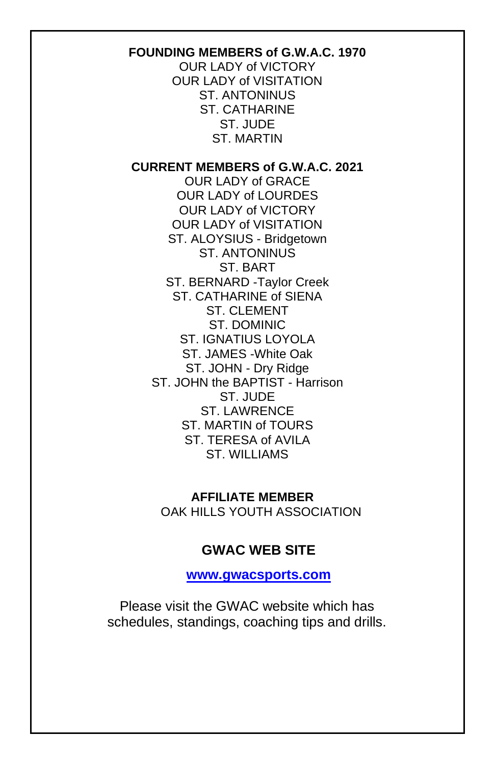#### **FOUNDING MEMBERS of G.W.A.C. 1970**

OUR LADY of VICTORY OUR LADY of VISITATION ST. ANTONINUS ST. CATHARINE ST. JUDE ST. MARTIN

#### **CURRENT MEMBERS of G.W.A.C. 2021**

OUR LADY of GRACE OUR LADY of LOURDES OUR LADY of VICTORY OUR LADY of VISITATION ST. ALOYSIUS - Bridgetown ST. ANTONINUS ST. BART ST. BERNARD -Taylor Creek ST. CATHARINE of SIENA ST. CLEMENT ST. DOMINIC ST. IGNATIUS LOYOLA ST. JAMES -White Oak ST. JOHN - Dry Ridge ST. JOHN the BAPTIST - Harrison ST. JUDE ST. LAWRENCE ST. MARTIN of TOURS ST. TERESA of AVILA. ST. WILLIAMS

 **AFFILIATE MEMBER** OAK HILLS YOUTH ASSOCIATION

#### **GWAC WEB SITE**

**[www.gwacsports.com](http://www.gwacsports.com/)**

Please visit the GWAC website which has schedules, standings, coaching tips and drills.